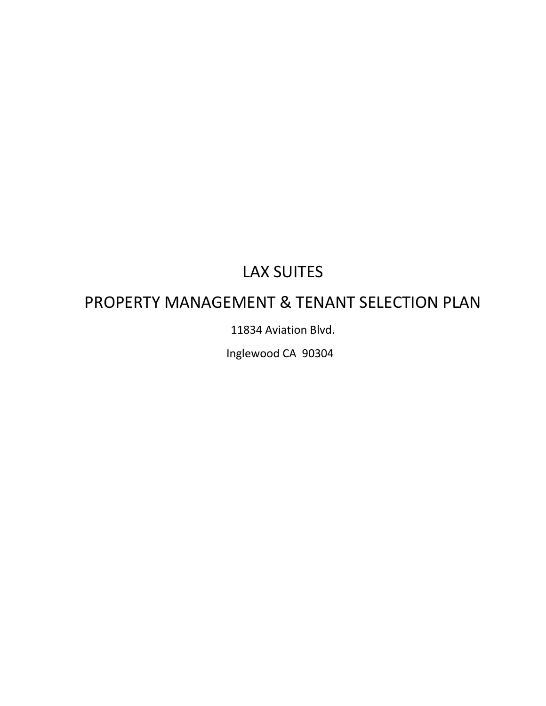# LAX SUITES

# PROPERTY MANAGEMENT & TENANT SELECTION PLAN

11834 Aviation Blvd.

Inglewood CA 90304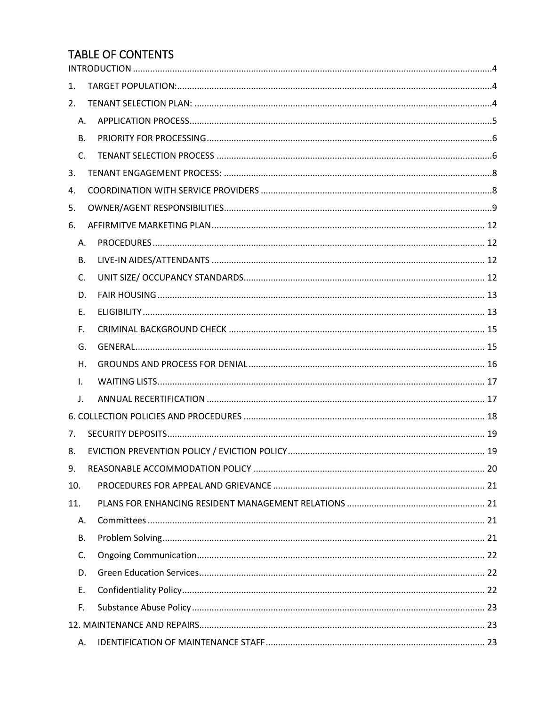# **TABLE OF CONTENTS**

| 1.  |                |  |  |  |  |  |  |
|-----|----------------|--|--|--|--|--|--|
| 2.  |                |  |  |  |  |  |  |
|     | Α.             |  |  |  |  |  |  |
|     | <b>B.</b>      |  |  |  |  |  |  |
|     | $\mathsf{C}$ . |  |  |  |  |  |  |
| 3.  |                |  |  |  |  |  |  |
| 4.  |                |  |  |  |  |  |  |
| 5.  |                |  |  |  |  |  |  |
| 6.  |                |  |  |  |  |  |  |
|     | А.             |  |  |  |  |  |  |
|     | <b>B.</b>      |  |  |  |  |  |  |
|     | $\mathsf{C}$ . |  |  |  |  |  |  |
|     | D.             |  |  |  |  |  |  |
|     | Ε.             |  |  |  |  |  |  |
|     | F.             |  |  |  |  |  |  |
|     | G.             |  |  |  |  |  |  |
|     | Η.             |  |  |  |  |  |  |
|     | $\mathsf{L}$   |  |  |  |  |  |  |
|     | J.             |  |  |  |  |  |  |
|     |                |  |  |  |  |  |  |
| 7.  |                |  |  |  |  |  |  |
| 8.  |                |  |  |  |  |  |  |
| 9.  |                |  |  |  |  |  |  |
| 10. |                |  |  |  |  |  |  |
| 11. |                |  |  |  |  |  |  |
|     | А.             |  |  |  |  |  |  |
|     | В.             |  |  |  |  |  |  |
|     | C.             |  |  |  |  |  |  |
|     | D.             |  |  |  |  |  |  |
|     | E.             |  |  |  |  |  |  |
|     | F.             |  |  |  |  |  |  |
|     |                |  |  |  |  |  |  |
|     | А.             |  |  |  |  |  |  |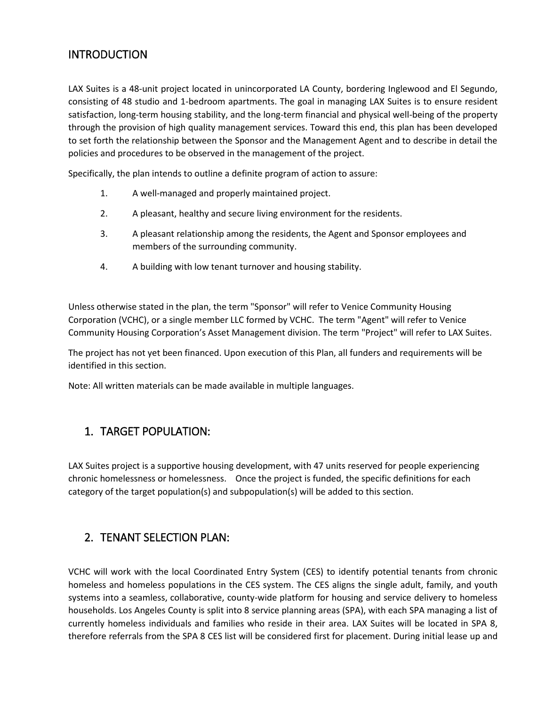### <span id="page-3-0"></span>**INTRODUCTION**

LAX Suites is a 48-unit project located in unincorporated LA County, bordering Inglewood and El Segundo, consisting of 48 studio and 1-bedroom apartments. The goal in managing LAX Suites is to ensure resident satisfaction, long-term housing stability, and the long-term financial and physical well-being of the property through the provision of high quality management services. Toward this end, this plan has been developed to set forth the relationship between the Sponsor and the Management Agent and to describe in detail the policies and procedures to be observed in the management of the project.

Specifically, the plan intends to outline a definite program of action to assure:

- 1. A well-managed and properly maintained project.
- 2. A pleasant, healthy and secure living environment for the residents.
- 3. A pleasant relationship among the residents, the Agent and Sponsor employees and members of the surrounding community.
- 4. A building with low tenant turnover and housing stability.

Unless otherwise stated in the plan, the term "Sponsor" will refer to Venice Community Housing Corporation (VCHC), or a single member LLC formed by VCHC. The term "Agent" will refer to Venice Community Housing Corporation's Asset Management division. The term "Project" will refer to LAX Suites.

The project has not yet been financed. Upon execution of this Plan, all funders and requirements will be identified in this section.

Note: All written materials can be made available in multiple languages.

### <span id="page-3-1"></span>1. TARGET POPULATION:

LAX Suites project is a supportive housing development, with 47 units reserved for people experiencing chronic homelessness or homelessness. Once the project is funded, the specific definitions for each category of the target population(s) and subpopulation(s) will be added to this section.

### <span id="page-3-2"></span>2. TENANT SELECTION PLAN:

VCHC will work with the local Coordinated Entry System (CES) to identify potential tenants from chronic homeless and homeless populations in the CES system. The CES aligns the single adult, family, and youth systems into a seamless, collaborative, county-wide platform for housing and service delivery to homeless households. Los Angeles County is split into 8 service planning areas (SPA), with each SPA managing a list of currently homeless individuals and families who reside in their area. LAX Suites will be located in SPA 8, therefore referrals from the SPA 8 CES list will be considered first for placement. During initial lease up and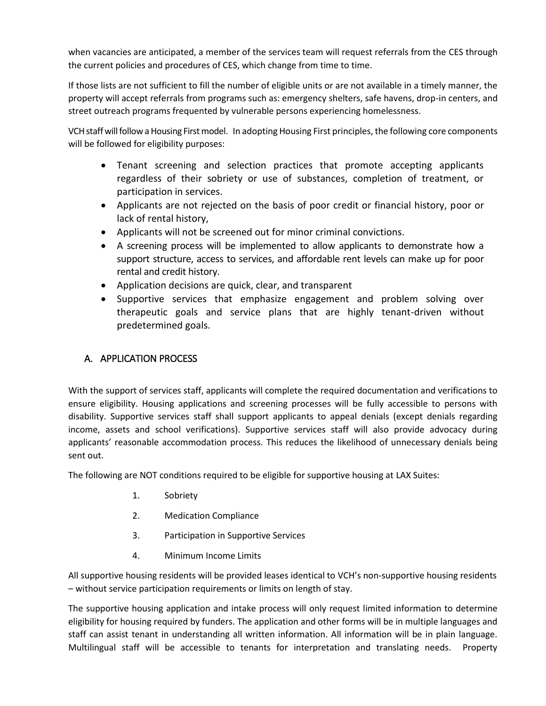when vacancies are anticipated, a member of the services team will request referrals from the CES through the current policies and procedures of CES, which change from time to time.

If those lists are not sufficient to fill the number of eligible units or are not available in a timely manner, the property will accept referrals from programs such as: emergency shelters, safe havens, drop-in centers, and street outreach programs frequented by vulnerable persons experiencing homelessness.

VCH staff will follow a Housing First model. In adopting Housing First principles, the following core components will be followed for eligibility purposes:

- Tenant screening and selection practices that promote accepting applicants regardless of their sobriety or use of substances, completion of treatment, or participation in services.
- Applicants are not rejected on the basis of poor credit or financial history, poor or lack of rental history,
- Applicants will not be screened out for minor criminal convictions.
- A screening process will be implemented to allow applicants to demonstrate how a support structure, access to services, and affordable rent levels can make up for poor rental and credit history.
- Application decisions are quick, clear, and transparent
- Supportive services that emphasize engagement and problem solving over therapeutic goals and service plans that are highly tenant-driven without predetermined goals.

### <span id="page-4-0"></span>A. APPLICATION PROCESS

With the support of services staff, applicants will complete the required documentation and verifications to ensure eligibility. Housing applications and screening processes will be fully accessible to persons with disability. Supportive services staff shall support applicants to appeal denials (except denials regarding income, assets and school verifications). Supportive services staff will also provide advocacy during applicants' reasonable accommodation process. This reduces the likelihood of unnecessary denials being sent out.

The following are NOT conditions required to be eligible for supportive housing at LAX Suites:

- 1. Sobriety
- 2. Medication Compliance
- 3. Participation in Supportive Services
- 4. Minimum Income Limits

All supportive housing residents will be provided leases identical to VCH's non-supportive housing residents – without service participation requirements or limits on length of stay.

The supportive housing application and intake process will only request limited information to determine eligibility for housing required by funders. The application and other forms will be in multiple languages and staff can assist tenant in understanding all written information. All information will be in plain language. Multilingual staff will be accessible to tenants for interpretation and translating needs. Property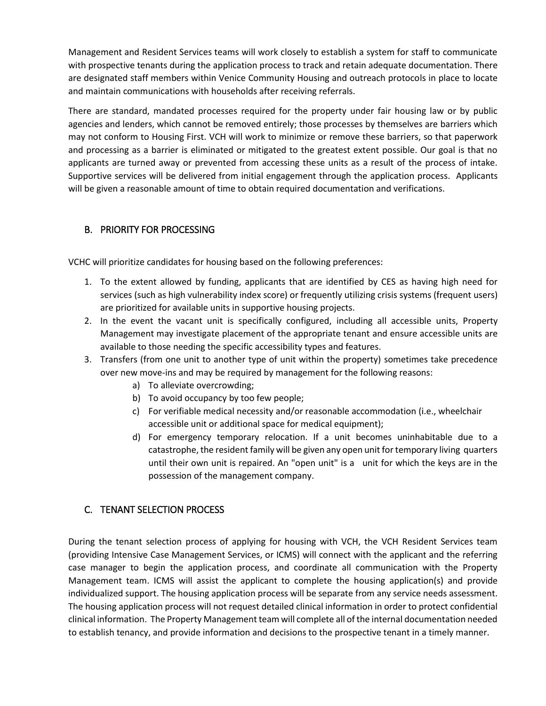Management and Resident Services teams will work closely to establish a system for staff to communicate with prospective tenants during the application process to track and retain adequate documentation. There are designated staff members within Venice Community Housing and outreach protocols in place to locate and maintain communications with households after receiving referrals.

There are standard, mandated processes required for the property under fair housing law or by public agencies and lenders, which cannot be removed entirely; those processes by themselves are barriers which may not conform to Housing First. VCH will work to minimize or remove these barriers, so that paperwork and processing as a barrier is eliminated or mitigated to the greatest extent possible. Our goal is that no applicants are turned away or prevented from accessing these units as a result of the process of intake. Supportive services will be delivered from initial engagement through the application process. Applicants will be given a reasonable amount of time to obtain required documentation and verifications.

### <span id="page-5-0"></span>B. PRIORITY FOR PROCESSING

VCHC will prioritize candidates for housing based on the following preferences:

- 1. To the extent allowed by funding, applicants that are identified by CES as having high need for services (such as high vulnerability index score) or frequently utilizing crisis systems (frequent users) are prioritized for available units in supportive housing projects.
- 2. In the event the vacant unit is specifically configured, including all accessible units, Property Management may investigate placement of the appropriate tenant and ensure accessible units are available to those needing the specific accessibility types and features.
- 3. Transfers (from one unit to another type of unit within the property) sometimes take precedence over new move-ins and may be required by management for the following reasons:
	- a) To alleviate overcrowding;
	- b) To avoid occupancy by too few people;
	- c) For verifiable medical necessity and/or reasonable accommodation (i.e., wheelchair accessible unit or additional space for medical equipment);
	- d) For emergency temporary relocation. If a unit becomes uninhabitable due to a catastrophe, the resident family will be given any open unit for temporary living quarters until their own unit is repaired. An "open unit" is a unit for which the keys are in the possession of the management company.

### <span id="page-5-1"></span>C. TENANT SELECTION PROCESS

During the tenant selection process of applying for housing with VCH, the VCH Resident Services team (providing Intensive Case Management Services, or ICMS) will connect with the applicant and the referring case manager to begin the application process, and coordinate all communication with the Property Management team. ICMS will assist the applicant to complete the housing application(s) and provide individualized support. The housing application process will be separate from any service needs assessment. The housing application process will not request detailed clinical information in order to protect confidential clinical information. The Property Management team will complete all of the internal documentation needed to establish tenancy, and provide information and decisions to the prospective tenant in a timely manner.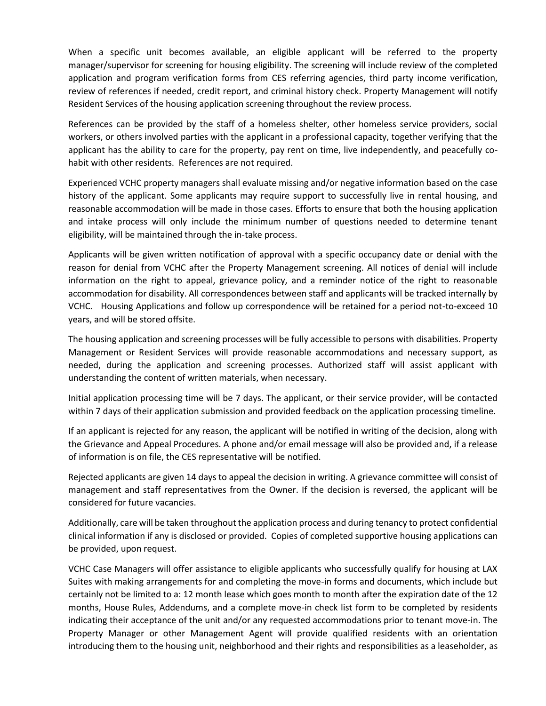When a specific unit becomes available, an eligible applicant will be referred to the property manager/supervisor for screening for housing eligibility. The screening will include review of the completed application and program verification forms from CES referring agencies, third party income verification, review of references if needed, credit report, and criminal history check. Property Management will notify Resident Services of the housing application screening throughout the review process.

References can be provided by the staff of a homeless shelter, other homeless service providers, social workers, or others involved parties with the applicant in a professional capacity, together verifying that the applicant has the ability to care for the property, pay rent on time, live independently, and peacefully cohabit with other residents. References are not required.

Experienced VCHC property managers shall evaluate missing and/or negative information based on the case history of the applicant. Some applicants may require support to successfully live in rental housing, and reasonable accommodation will be made in those cases. Efforts to ensure that both the housing application and intake process will only include the minimum number of questions needed to determine tenant eligibility, will be maintained through the in-take process.

Applicants will be given written notification of approval with a specific occupancy date or denial with the reason for denial from VCHC after the Property Management screening. All notices of denial will include information on the right to appeal, grievance policy, and a reminder notice of the right to reasonable accommodation for disability. All correspondences between staff and applicants will be tracked internally by VCHC. Housing Applications and follow up correspondence will be retained for a period not-to-exceed 10 years, and will be stored offsite.

The housing application and screening processes will be fully accessible to persons with disabilities. Property Management or Resident Services will provide reasonable accommodations and necessary support, as needed, during the application and screening processes. Authorized staff will assist applicant with understanding the content of written materials, when necessary.

Initial application processing time will be 7 days. The applicant, or their service provider, will be contacted within 7 days of their application submission and provided feedback on the application processing timeline.

If an applicant is rejected for any reason, the applicant will be notified in writing of the decision, along with the Grievance and Appeal Procedures. A phone and/or email message will also be provided and, if a release of information is on file, the CES representative will be notified.

Rejected applicants are given 14 days to appeal the decision in writing. A grievance committee will consist of management and staff representatives from the Owner. If the decision is reversed, the applicant will be considered for future vacancies.

Additionally, care will be taken throughout the application process and during tenancy to protect confidential clinical information if any is disclosed or provided. Copies of completed supportive housing applications can be provided, upon request.

VCHC Case Managers will offer assistance to eligible applicants who successfully qualify for housing at LAX Suites with making arrangements for and completing the move-in forms and documents, which include but certainly not be limited to a: 12 month lease which goes month to month after the expiration date of the 12 months, House Rules, Addendums, and a complete move-in check list form to be completed by residents indicating their acceptance of the unit and/or any requested accommodations prior to tenant move-in. The Property Manager or other Management Agent will provide qualified residents with an orientation introducing them to the housing unit, neighborhood and their rights and responsibilities as a leaseholder, as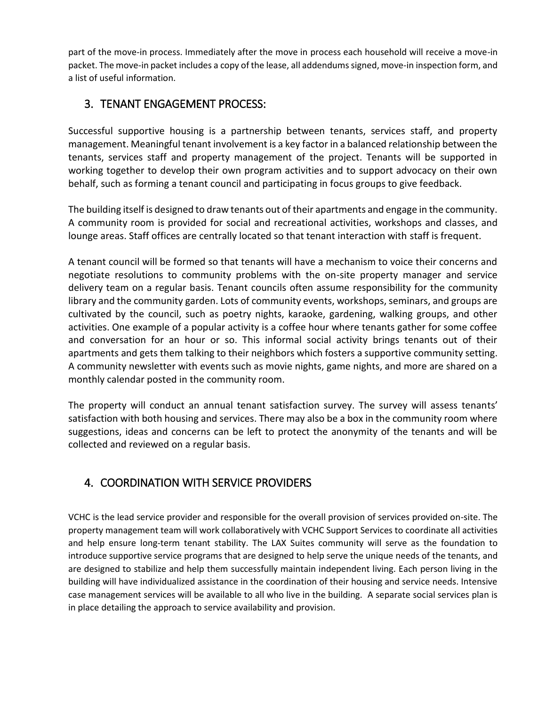part of the move-in process. Immediately after the move in process each household will receive a move-in packet. The move-in packet includes a copy of the lease, all addendums signed, move-in inspection form, and a list of useful information.

# <span id="page-7-0"></span>3. TENANT ENGAGEMENT PROCESS:

Successful supportive housing is a partnership between tenants, services staff, and property management. Meaningful tenant involvement is a key factor in a balanced relationship between the tenants, services staff and property management of the project. Tenants will be supported in working together to develop their own program activities and to support advocacy on their own behalf, such as forming a tenant council and participating in focus groups to give feedback.

The building itself is designed to draw tenants out of their apartments and engage in the community. A community room is provided for social and recreational activities, workshops and classes, and lounge areas. Staff offices are centrally located so that tenant interaction with staff is frequent.

A tenant council will be formed so that tenants will have a mechanism to voice their concerns and negotiate resolutions to community problems with the on-site property manager and service delivery team on a regular basis. Tenant councils often assume responsibility for the community library and the community garden. Lots of community events, workshops, seminars, and groups are cultivated by the council, such as poetry nights, karaoke, gardening, walking groups, and other activities. One example of a popular activity is a coffee hour where tenants gather for some coffee and conversation for an hour or so. This informal social activity brings tenants out of their apartments and gets them talking to their neighbors which fosters a supportive community setting. A community newsletter with events such as movie nights, game nights, and more are shared on a monthly calendar posted in the community room.

The property will conduct an annual tenant satisfaction survey. The survey will assess tenants' satisfaction with both housing and services. There may also be a box in the community room where suggestions, ideas and concerns can be left to protect the anonymity of the tenants and will be collected and reviewed on a regular basis.

# <span id="page-7-1"></span>4. COORDINATION WITH SERVICE PROVIDERS

VCHC is the lead service provider and responsible for the overall provision of services provided on-site. The property management team will work collaboratively with VCHC Support Services to coordinate all activities and help ensure long-term tenant stability. The LAX Suites community will serve as the foundation to introduce supportive service programs that are designed to help serve the unique needs of the tenants, and are designed to stabilize and help them successfully maintain independent living. Each person living in the building will have individualized assistance in the coordination of their housing and service needs. Intensive case management services will be available to all who live in the building. A separate social services plan is in place detailing the approach to service availability and provision.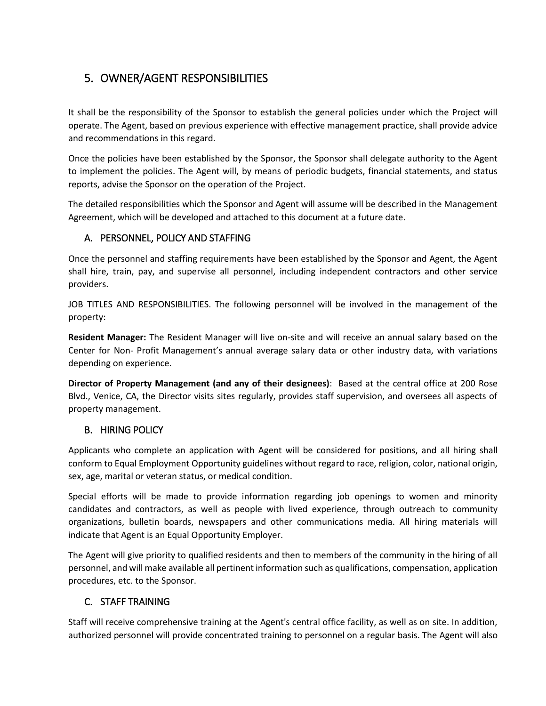# <span id="page-8-0"></span>5. OWNER/AGENT RESPONSIBILITIES

It shall be the responsibility of the Sponsor to establish the general policies under which the Project will operate. The Agent, based on previous experience with effective management practice, shall provide advice and recommendations in this regard.

Once the policies have been established by the Sponsor, the Sponsor shall delegate authority to the Agent to implement the policies. The Agent will, by means of periodic budgets, financial statements, and status reports, advise the Sponsor on the operation of the Project.

The detailed responsibilities which the Sponsor and Agent will assume will be described in the Management Agreement, which will be developed and attached to this document at a future date.

### A. PERSONNEL, POLICY AND STAFFING

Once the personnel and staffing requirements have been established by the Sponsor and Agent, the Agent shall hire, train, pay, and supervise all personnel, including independent contractors and other service providers.

JOB TITLES AND RESPONSIBILITIES. The following personnel will be involved in the management of the property:

**Resident Manager:** The Resident Manager will live on-site and will receive an annual salary based on the Center for Non- Profit Management's annual average salary data or other industry data, with variations depending on experience.

**Director of Property Management (and any of their designees)**: Based at the central office at 200 Rose Blvd., Venice, CA, the Director visits sites regularly, provides staff supervision, and oversees all aspects of property management.

### B. HIRING POLICY

Applicants who complete an application with Agent will be considered for positions, and all hiring shall conform to Equal Employment Opportunity guidelines without regard to race, religion, color, national origin, sex, age, marital or veteran status, or medical condition.

Special efforts will be made to provide information regarding job openings to women and minority candidates and contractors, as well as people with lived experience, through outreach to community organizations, bulletin boards, newspapers and other communications media. All hiring materials will indicate that Agent is an Equal Opportunity Employer.

The Agent will give priority to qualified residents and then to members of the community in the hiring of all personnel, and will make available all pertinent information such as qualifications, compensation, application procedures, etc. to the Sponsor.

### C. STAFF TRAINING

Staff will receive comprehensive training at the Agent's central office facility, as well as on site. In addition, authorized personnel will provide concentrated training to personnel on a regular basis. The Agent will also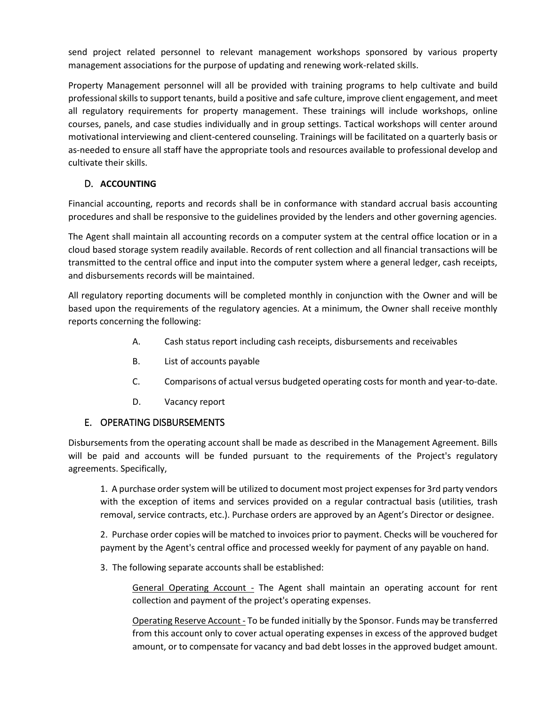send project related personnel to relevant management workshops sponsored by various property management associations for the purpose of updating and renewing work-related skills.

Property Management personnel will all be provided with training programs to help cultivate and build professional skills to support tenants, build a positive and safe culture, improve client engagement, and meet all regulatory requirements for property management. These trainings will include workshops, online courses, panels, and case studies individually and in group settings. Tactical workshops will center around motivational interviewing and client-centered counseling. Trainings will be facilitated on a quarterly basis or as-needed to ensure all staff have the appropriate tools and resources available to professional develop and cultivate their skills.

### D. **ACCOUNTING**

Financial accounting, reports and records shall be in conformance with standard accrual basis accounting procedures and shall be responsive to the guidelines provided by the lenders and other governing agencies.

The Agent shall maintain all accounting records on a computer system at the central office location or in a cloud based storage system readily available. Records of rent collection and all financial transactions will be transmitted to the central office and input into the computer system where a general ledger, cash receipts, and disbursements records will be maintained.

All regulatory reporting documents will be completed monthly in conjunction with the Owner and will be based upon the requirements of the regulatory agencies. At a minimum, the Owner shall receive monthly reports concerning the following:

- A. Cash status report including cash receipts, disbursements and receivables
- B. List of accounts payable
- C. Comparisons of actual versus budgeted operating costs for month and year-to-date.
- D. Vacancy report

### E. OPERATING DISBURSEMENTS

Disbursements from the operating account shall be made as described in the Management Agreement. Bills will be paid and accounts will be funded pursuant to the requirements of the Project's regulatory agreements. Specifically,

1. A purchase order system will be utilized to document most project expenses for 3rd party vendors with the exception of items and services provided on a regular contractual basis (utilities, trash removal, service contracts, etc.). Purchase orders are approved by an Agent's Director or designee.

2. Purchase order copies will be matched to invoices prior to payment. Checks will be vouchered for payment by the Agent's central office and processed weekly for payment of any payable on hand.

3. The following separate accounts shall be established:

General Operating Account - The Agent shall maintain an operating account for rent collection and payment of the project's operating expenses.

Operating Reserve Account - To be funded initially by the Sponsor. Funds may be transferred from this account only to cover actual operating expenses in excess of the approved budget amount, or to compensate for vacancy and bad debt losses in the approved budget amount.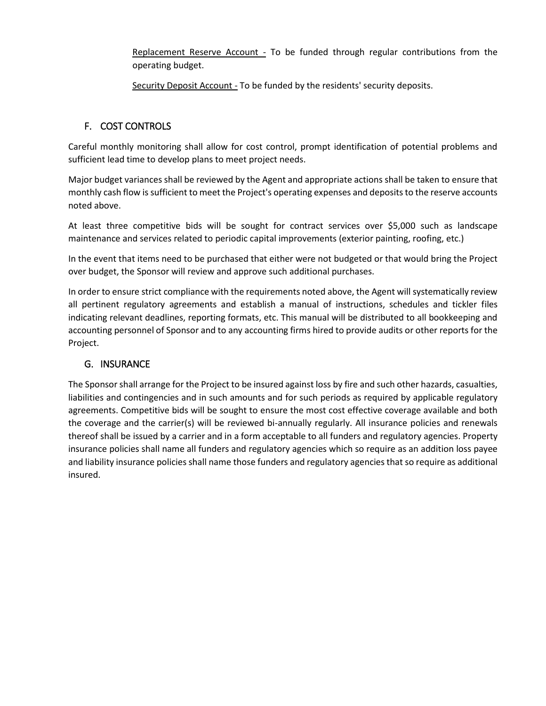Replacement Reserve Account - To be funded through regular contributions from the operating budget.

Security Deposit Account - To be funded by the residents' security deposits.

### F. COST CONTROLS

Careful monthly monitoring shall allow for cost control, prompt identification of potential problems and sufficient lead time to develop plans to meet project needs.

Major budget variances shall be reviewed by the Agent and appropriate actions shall be taken to ensure that monthly cash flow is sufficient to meet the Project's operating expenses and deposits to the reserve accounts noted above.

At least three competitive bids will be sought for contract services over \$5,000 such as landscape maintenance and services related to periodic capital improvements (exterior painting, roofing, etc.)

In the event that items need to be purchased that either were not budgeted or that would bring the Project over budget, the Sponsor will review and approve such additional purchases.

In order to ensure strict compliance with the requirements noted above, the Agent will systematically review all pertinent regulatory agreements and establish a manual of instructions, schedules and tickler files indicating relevant deadlines, reporting formats, etc. This manual will be distributed to all bookkeeping and accounting personnel of Sponsor and to any accounting firms hired to provide audits or other reports for the Project.

### G. INSURANCE

The Sponsor shall arrange for the Project to be insured against loss by fire and such other hazards, casualties, liabilities and contingencies and in such amounts and for such periods as required by applicable regulatory agreements. Competitive bids will be sought to ensure the most cost effective coverage available and both the coverage and the carrier(s) will be reviewed bi-annually regularly. All insurance policies and renewals thereof shall be issued by a carrier and in a form acceptable to all funders and regulatory agencies. Property insurance policies shall name all funders and regulatory agencies which so require as an addition loss payee and liability insurance policies shall name those funders and regulatory agencies that so require as additional insured.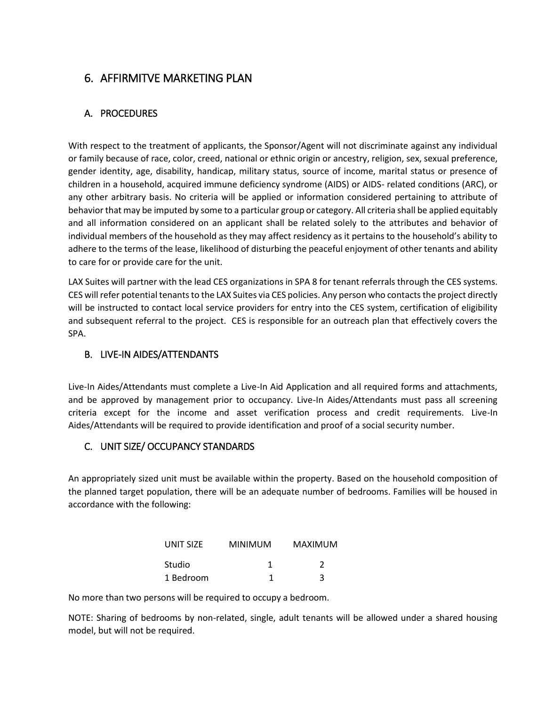### <span id="page-11-0"></span>6. AFFIRMITVE MARKETING PLAN

### <span id="page-11-1"></span>A. PROCEDURES

With respect to the treatment of applicants, the Sponsor/Agent will not discriminate against any individual or family because of race, color, creed, national or ethnic origin or ancestry, religion, sex, sexual preference, gender identity, age, disability, handicap, military status, source of income, marital status or presence of children in a household, acquired immune deficiency syndrome (AIDS) or AIDS- related conditions (ARC), or any other arbitrary basis. No criteria will be applied or information considered pertaining to attribute of behavior that may be imputed by some to a particular group or category. All criteria shall be applied equitably and all information considered on an applicant shall be related solely to the attributes and behavior of individual members of the household as they may affect residency as it pertains to the household's ability to adhere to the terms of the lease, likelihood of disturbing the peaceful enjoyment of other tenants and ability to care for or provide care for the unit.

LAX Suites will partner with the lead CES organizations in SPA 8 for tenant referrals through the CES systems. CES will refer potential tenants to the LAX Suites via CES policies. Any person who contacts the project directly will be instructed to contact local service providers for entry into the CES system, certification of eligibility and subsequent referral to the project. CES is responsible for an outreach plan that effectively covers the SPA.

### <span id="page-11-2"></span>B. LIVE-IN AIDES/ATTENDANTS

Live-In Aides/Attendants must complete a Live-In Aid Application and all required forms and attachments, and be approved by management prior to occupancy. Live-In Aides/Attendants must pass all screening criteria except for the income and asset verification process and credit requirements. Live-In Aides/Attendants will be required to provide identification and proof of a social security number.

### <span id="page-11-3"></span>C. UNIT SIZE/ OCCUPANCY STANDARDS

An appropriately sized unit must be available within the property. Based on the household composition of the planned target population, there will be an adequate number of bedrooms. Families will be housed in accordance with the following:

| UNIT SIZE | <b>MINIMUM</b> | <b>MAXIMUM</b> |  |
|-----------|----------------|----------------|--|
| Studio    |                | 2              |  |
| 1 Bedroom |                | 3              |  |

No more than two persons will be required to occupy a bedroom.

NOTE: Sharing of bedrooms by non-related, single, adult tenants will be allowed under a shared housing model, but will not be required.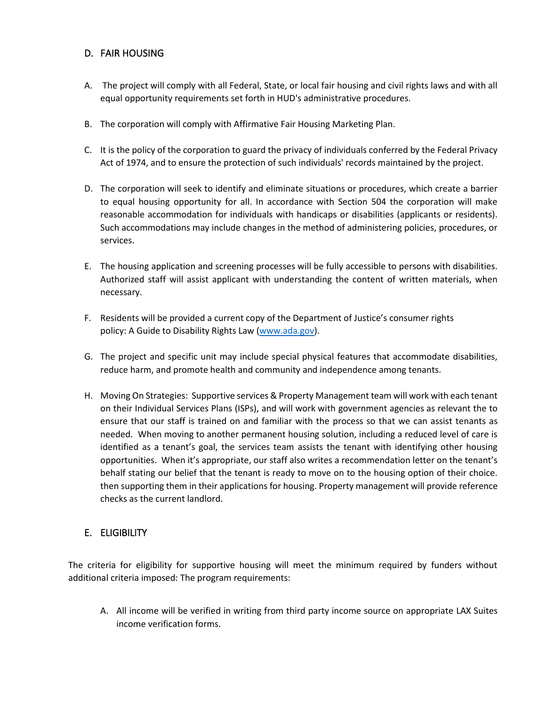### <span id="page-12-0"></span>D. FAIR HOUSING

- A. The project will comply with all Federal, State, or local fair housing and civil rights laws and with all equal opportunity requirements set forth in HUD's administrative procedures.
- B. The corporation will comply with Affirmative Fair Housing Marketing Plan.
- C. It is the policy of the corporation to guard the privacy of individuals conferred by the Federal Privacy Act of 1974, and to ensure the protection of such individuals' records maintained by the project.
- D. The corporation will seek to identify and eliminate situations or procedures, which create a barrier to equal housing opportunity for all. In accordance with Section 504 the corporation will make reasonable accommodation for individuals with handicaps or disabilities (applicants or residents). Such accommodations may include changes in the method of administering policies, procedures, or services.
- E. The housing application and screening processes will be fully accessible to persons with disabilities. Authorized staff will assist applicant with understanding the content of written materials, when necessary.
- F. Residents will be provided a current copy of the Department of Justice's consumer rights policy: A Guide to Disability Rights Law [\(www.ada.gov\)](http://www.ada.gov/).
- G. The project and specific unit may include special physical features that accommodate disabilities, reduce harm, and promote health and community and independence among tenants.
- H. Moving On Strategies: Supportive services & Property Management team will work with each tenant on their Individual Services Plans (ISPs), and will work with government agencies as relevant the to ensure that our staff is trained on and familiar with the process so that we can assist tenants as needed. When moving to another permanent housing solution, including a reduced level of care is identified as a tenant's goal, the services team assists the tenant with identifying other housing opportunities. When it's appropriate, our staff also writes a recommendation letter on the tenant's behalf stating our belief that the tenant is ready to move on to the housing option of their choice. then supporting them in their applications for housing. Property management will provide reference checks as the current landlord.

### <span id="page-12-1"></span>E. ELIGIBILITY

The criteria for eligibility for supportive housing will meet the minimum required by funders without additional criteria imposed: The program requirements:

A. All income will be verified in writing from third party income source on appropriate LAX Suites income verification forms.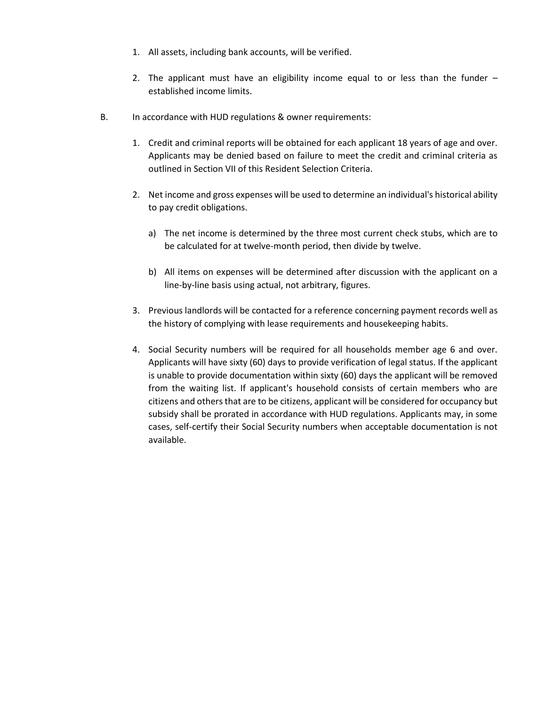- 1. All assets, including bank accounts, will be verified.
- 2. The applicant must have an eligibility income equal to or less than the funder established income limits.
- B. In accordance with HUD regulations & owner requirements:
	- 1. Credit and criminal reports will be obtained for each applicant 18 years of age and over. Applicants may be denied based on failure to meet the credit and criminal criteria as outlined in Section VII of this Resident Selection Criteria.
	- 2. Net income and gross expenses will be used to determine an individual's historical ability to pay credit obligations.
		- a) The net income is determined by the three most current check stubs, which are to be calculated for at twelve-month period, then divide by twelve.
		- b) All items on expenses will be determined after discussion with the applicant on a line-by-line basis using actual, not arbitrary, figures.
	- 3. Previous landlords will be contacted for a reference concerning payment records well as the history of complying with lease requirements and housekeeping habits.
	- 4. Social Security numbers will be required for all households member age 6 and over. Applicants will have sixty (60) days to provide verification of legal status. If the applicant is unable to provide documentation within sixty (60) days the applicant will be removed from the waiting list. If applicant's household consists of certain members who are citizens and others that are to be citizens, applicant will be considered for occupancy but subsidy shall be prorated in accordance with HUD regulations. Applicants may, in some cases, self-certify their Social Security numbers when acceptable documentation is not available.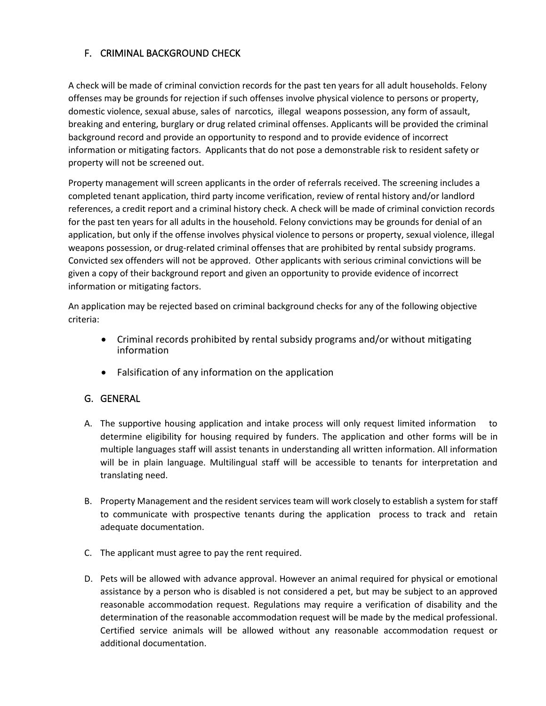### <span id="page-14-0"></span>F. CRIMINAL BACKGROUND CHECK

A check will be made of criminal conviction records for the past ten years for all adult households. Felony offenses may be grounds for rejection if such offenses involve physical violence to persons or property, domestic violence, sexual abuse, sales of narcotics, illegal weapons possession, any form of assault, breaking and entering, burglary or drug related criminal offenses. Applicants will be provided the criminal background record and provide an opportunity to respond and to provide evidence of incorrect information or mitigating factors. Applicants that do not pose a demonstrable risk to resident safety or property will not be screened out.

Property management will screen applicants in the order of referrals received. The screening includes a completed tenant application, third party income verification, review of rental history and/or landlord references, a credit report and a criminal history check. A check will be made of criminal conviction records for the past ten years for all adults in the household. Felony convictions may be grounds for denial of an application, but only if the offense involves physical violence to persons or property, sexual violence, illegal weapons possession, or drug-related criminal offenses that are prohibited by rental subsidy programs. Convicted sex offenders will not be approved. Other applicants with serious criminal convictions will be given a copy of their background report and given an opportunity to provide evidence of incorrect information or mitigating factors.

An application may be rejected based on criminal background checks for any of the following objective criteria:

- Criminal records prohibited by rental subsidy programs and/or without mitigating information
- Falsification of any information on the application

### <span id="page-14-1"></span>G. GENERAL

- A. The supportive housing application and intake process will only request limited information to determine eligibility for housing required by funders. The application and other forms will be in multiple languages staff will assist tenants in understanding all written information. All information will be in plain language. Multilingual staff will be accessible to tenants for interpretation and translating need.
- B. Property Management and the resident services team will work closely to establish a system for staff to communicate with prospective tenants during the application process to track and retain adequate documentation.
- C. The applicant must agree to pay the rent required.
- D. Pets will be allowed with advance approval. However an animal required for physical or emotional assistance by a person who is disabled is not considered a pet, but may be subject to an approved reasonable accommodation request. Regulations may require a verification of disability and the determination of the reasonable accommodation request will be made by the medical professional. Certified service animals will be allowed without any reasonable accommodation request or additional documentation.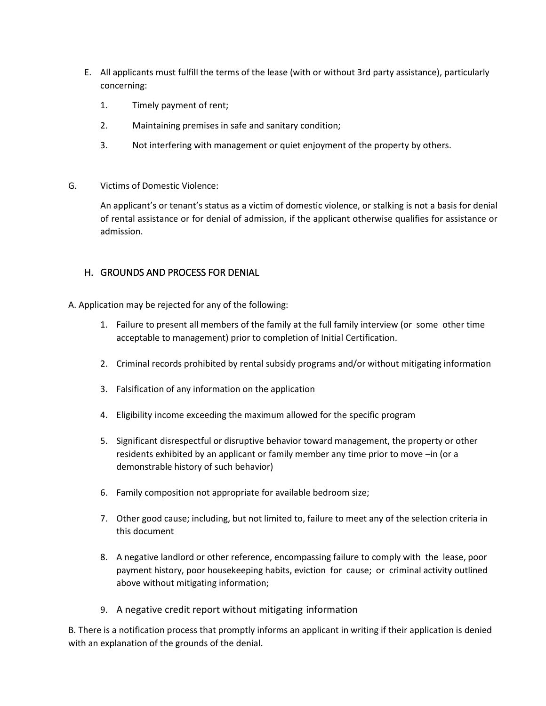- E. All applicants must fulfill the terms of the lease (with or without 3rd party assistance), particularly concerning:
	- 1. Timely payment of rent;
	- 2. Maintaining premises in safe and sanitary condition;
	- 3. Not interfering with management or quiet enjoyment of the property by others.
- G. Victims of Domestic Violence:

An applicant's or tenant's status as a victim of domestic violence, or stalking is not a basis for denial of rental assistance or for denial of admission, if the applicant otherwise qualifies for assistance or admission.

#### <span id="page-15-0"></span>H. GROUNDS AND PROCESS FOR DENIAL

A. Application may be rejected for any of the following:

- 1. Failure to present all members of the family at the full family interview (or some other time acceptable to management) prior to completion of Initial Certification.
- 2. Criminal records prohibited by rental subsidy programs and/or without mitigating information
- 3. Falsification of any information on the application
- 4. Eligibility income exceeding the maximum allowed for the specific program
- 5. Significant disrespectful or disruptive behavior toward management, the property or other residents exhibited by an applicant or family member any time prior to move –in (or a demonstrable history of such behavior)
- 6. Family composition not appropriate for available bedroom size;
- 7. Other good cause; including, but not limited to, failure to meet any of the selection criteria in this document
- 8. A negative landlord or other reference, encompassing failure to comply with the lease, poor payment history, poor housekeeping habits, eviction for cause; or criminal activity outlined above without mitigating information;
- 9. A negative credit report without mitigating information

B. There is a notification process that promptly informs an applicant in writing if their application is denied with an explanation of the grounds of the denial.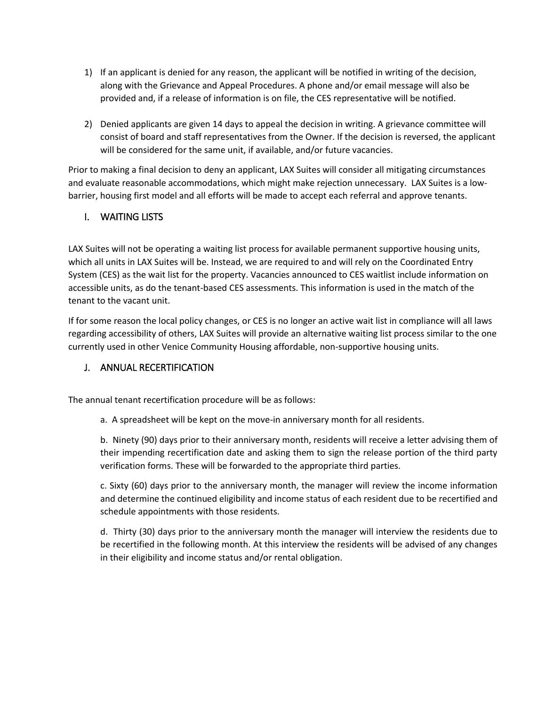- 1) If an applicant is denied for any reason, the applicant will be notified in writing of the decision, along with the Grievance and Appeal Procedures. A phone and/or email message will also be provided and, if a release of information is on file, the CES representative will be notified.
- 2) Denied applicants are given 14 days to appeal the decision in writing. A grievance committee will consist of board and staff representatives from the Owner. If the decision is reversed, the applicant will be considered for the same unit, if available, and/or future vacancies.

Prior to making a final decision to deny an applicant, LAX Suites will consider all mitigating circumstances and evaluate reasonable accommodations, which might make rejection unnecessary. LAX Suites is a lowbarrier, housing first model and all efforts will be made to accept each referral and approve tenants.

### <span id="page-16-0"></span>I. WAITING LISTS

LAX Suites will not be operating a waiting list process for available permanent supportive housing units, which all units in LAX Suites will be. Instead, we are required to and will rely on the Coordinated Entry System (CES) as the wait list for the property. Vacancies announced to CES waitlist include information on accessible units, as do the tenant-based CES assessments. This information is used in the match of the tenant to the vacant unit.

If for some reason the local policy changes, or CES is no longer an active wait list in compliance will all laws regarding accessibility of others, LAX Suites will provide an alternative waiting list process similar to the one currently used in other Venice Community Housing affordable, non-supportive housing units.

### <span id="page-16-1"></span>J. ANNUAL RECERTIFICATION

The annual tenant recertification procedure will be as follows:

a. A spreadsheet will be kept on the move-in anniversary month for all residents.

b. Ninety (90) days prior to their anniversary month, residents will receive a letter advising them of their impending recertification date and asking them to sign the release portion of the third party verification forms. These will be forwarded to the appropriate third parties.

c. Sixty (60) days prior to the anniversary month, the manager will review the income information and determine the continued eligibility and income status of each resident due to be recertified and schedule appointments with those residents.

d. Thirty (30) days prior to the anniversary month the manager will interview the residents due to be recertified in the following month. At this interview the residents will be advised of any changes in their eligibility and income status and/or rental obligation.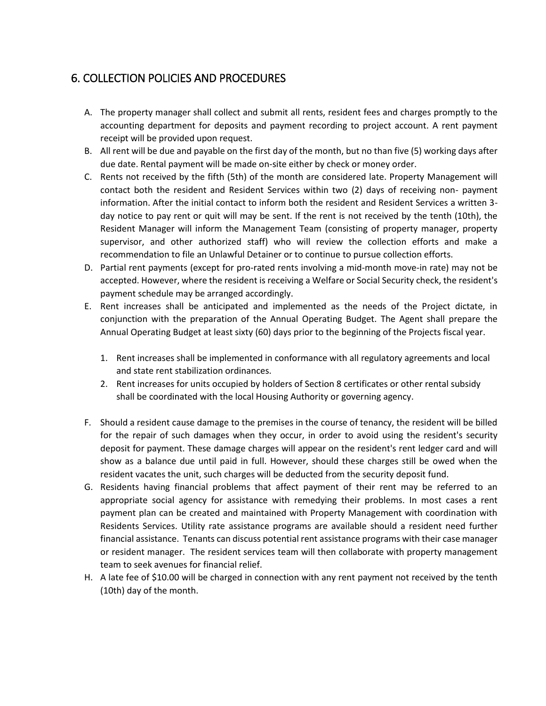## <span id="page-17-0"></span>6. COLLECTION POLICIES AND PROCEDURES

- A. The property manager shall collect and submit all rents, resident fees and charges promptly to the accounting department for deposits and payment recording to project account. A rent payment receipt will be provided upon request.
- B. All rent will be due and payable on the first day of the month, but no than five (5) working days after due date. Rental payment will be made on-site either by check or money order.
- C. Rents not received by the fifth (5th) of the month are considered late. Property Management will contact both the resident and Resident Services within two (2) days of receiving non- payment information. After the initial contact to inform both the resident and Resident Services a written 3 day notice to pay rent or quit will may be sent. If the rent is not received by the tenth (10th), the Resident Manager will inform the Management Team (consisting of property manager, property supervisor, and other authorized staff) who will review the collection efforts and make a recommendation to file an Unlawful Detainer or to continue to pursue collection efforts.
- D. Partial rent payments (except for pro-rated rents involving a mid-month move-in rate) may not be accepted. However, where the resident is receiving a Welfare or Social Security check, the resident's payment schedule may be arranged accordingly.
- E. Rent increases shall be anticipated and implemented as the needs of the Project dictate, in conjunction with the preparation of the Annual Operating Budget. The Agent shall prepare the Annual Operating Budget at least sixty (60) days prior to the beginning of the Projects fiscal year.
	- 1. Rent increases shall be implemented in conformance with all regulatory agreements and local and state rent stabilization ordinances.
	- 2. Rent increases for units occupied by holders of Section 8 certificates or other rental subsidy shall be coordinated with the local Housing Authority or governing agency.
- F. Should a resident cause damage to the premises in the course of tenancy, the resident will be billed for the repair of such damages when they occur, in order to avoid using the resident's security deposit for payment. These damage charges will appear on the resident's rent ledger card and will show as a balance due until paid in full. However, should these charges still be owed when the resident vacates the unit, such charges will be deducted from the security deposit fund.
- G. Residents having financial problems that affect payment of their rent may be referred to an appropriate social agency for assistance with remedying their problems. In most cases a rent payment plan can be created and maintained with Property Management with coordination with Residents Services. Utility rate assistance programs are available should a resident need further financial assistance. Tenants can discuss potential rent assistance programs with their case manager or resident manager. The resident services team will then collaborate with property management team to seek avenues for financial relief.
- H. A late fee of \$10.00 will be charged in connection with any rent payment not received by the tenth (10th) day of the month.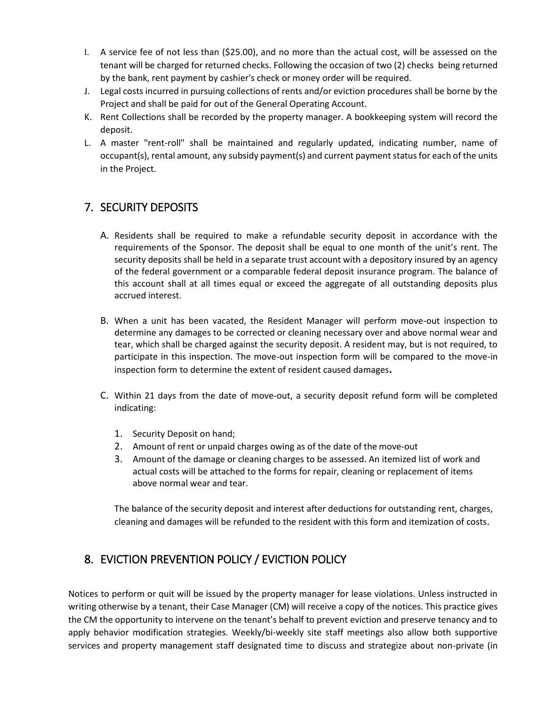- I. A service fee of not less than (\$25.00), and no more than the actual cost, will be assessed on the tenant will be charged for returned checks. Following the occasion of two (2) checks being returned by the bank, rent payment by cashier's check or money order will be required.
- J. Legal costs incurred in pursuing collections of rents and/or eviction procedures shall be borne by the Project and shall be paid for out of the General Operating Account.
- K. Rent Collections shall be recorded by the property manager. A bookkeeping system will record the deposit.
- L. A master "rent-roll" shall be maintained and regularly updated, indicating number, name of occupant(s), rental amount, any subsidy payment(s) and current payment status for each of the units in the Project.

# <span id="page-18-0"></span>7. SECURITY DEPOSITS

- A. Residents shall be required to make a refundable security deposit in accordance with the requirements of the Sponsor. The deposit shall be equal to one month of the unit's rent. The security deposits shall be held in a separate trust account with a depository insured by an agency of the federal government or a comparable federal deposit insurance program. The balance of this account shall at all times equal or exceed the aggregate of all outstanding deposits plus accrued interest.
- B. When a unit has been vacated, the Resident Manager will perform move-out inspection to determine any damages to be corrected or cleaning necessary over and above normal wear and tear, which shall be charged against the security deposit. A resident may, but is not required, to participate in this inspection. The move-out inspection form will be compared to the move-in inspection form to determine the extent of resident caused damages**.**
- C. Within 21 days from the date of move-out, a security deposit refund form will be completed indicating:
	- 1. Security Deposit on hand;
	- 2. Amount of rent or unpaid charges owing as of the date of the move-out
	- 3. Amount of the damage or cleaning charges to be assessed. An itemized list of work and actual costs will be attached to the forms for repair, cleaning or replacement of items above normal wear and tear.

The balance of the security deposit and interest after deductions for outstanding rent, charges, cleaning and damages will be refunded to the resident with this form and itemization of costs.

# <span id="page-18-1"></span>8. EVICTION PREVENTION POLICY / EVICTION POLICY

Notices to perform or quit will be issued by the property manager for lease violations. Unless instructed in writing otherwise by a tenant, their Case Manager (CM) will receive a copy of the notices. This practice gives the CM the opportunity to intervene on the tenant's behalf to prevent eviction and preserve tenancy and to apply behavior modification strategies. Weekly/bi-weekly site staff meetings also allow both supportive services and property management staff designated time to discuss and strategize about non-private (in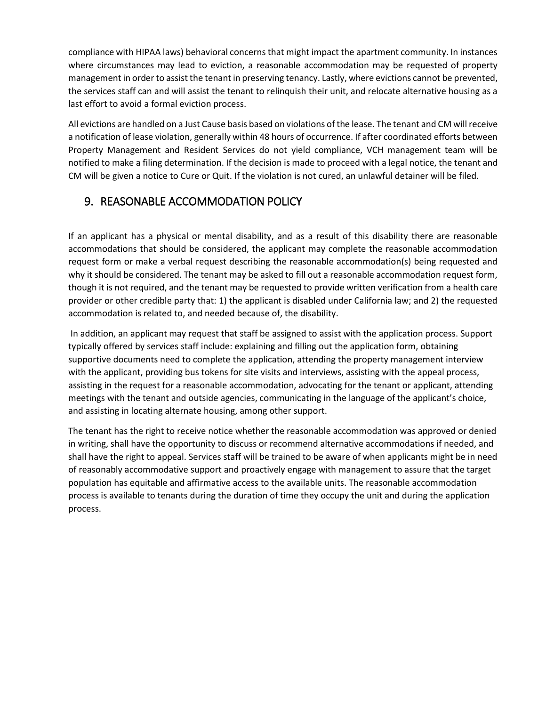compliance with HIPAA laws) behavioral concerns that might impact the apartment community. In instances where circumstances may lead to eviction, a reasonable accommodation may be requested of property management in order to assist the tenant in preserving tenancy. Lastly, where evictions cannot be prevented, the services staff can and will assist the tenant to relinquish their unit, and relocate alternative housing as a last effort to avoid a formal eviction process.

All evictions are handled on a Just Cause basis based on violations of the lease. The tenant and CM will receive a notification of lease violation, generally within 48 hours of occurrence. If after coordinated efforts between Property Management and Resident Services do not yield compliance, VCH management team will be notified to make a filing determination. If the decision is made to proceed with a legal notice, the tenant and CM will be given a notice to Cure or Quit. If the violation is not cured, an unlawful detainer will be filed.

# <span id="page-19-0"></span>9. REASONABLE ACCOMMODATION POLICY

If an applicant has a physical or mental disability, and as a result of this disability there are reasonable accommodations that should be considered, the applicant may complete the reasonable accommodation request form or make a verbal request describing the reasonable accommodation(s) being requested and why it should be considered. The tenant may be asked to fill out a reasonable accommodation request form, though it is not required, and the tenant may be requested to provide written verification from a health care provider or other credible party that: 1) the applicant is disabled under California law; and 2) the requested accommodation is related to, and needed because of, the disability.

In addition, an applicant may request that staff be assigned to assist with the application process. Support typically offered by services staff include: explaining and filling out the application form, obtaining supportive documents need to complete the application, attending the property management interview with the applicant, providing bus tokens for site visits and interviews, assisting with the appeal process, assisting in the request for a reasonable accommodation, advocating for the tenant or applicant, attending meetings with the tenant and outside agencies, communicating in the language of the applicant's choice, and assisting in locating alternate housing, among other support.

The tenant has the right to receive notice whether the reasonable accommodation was approved or denied in writing, shall have the opportunity to discuss or recommend alternative accommodations if needed, and shall have the right to appeal. Services staff will be trained to be aware of when applicants might be in need of reasonably accommodative support and proactively engage with management to assure that the target population has equitable and affirmative access to the available units. The reasonable accommodation process is available to tenants during the duration of time they occupy the unit and during the application process.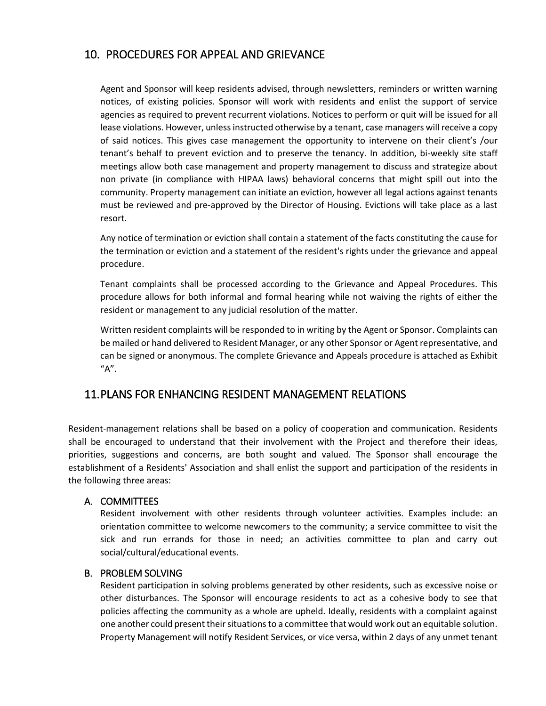### <span id="page-20-0"></span>10. PROCEDURES FOR APPEAL AND GRIEVANCE

Agent and Sponsor will keep residents advised, through newsletters, reminders or written warning notices, of existing policies. Sponsor will work with residents and enlist the support of service agencies as required to prevent recurrent violations. Notices to perform or quit will be issued for all lease violations. However, unless instructed otherwise by a tenant, case managers will receive a copy of said notices. This gives case management the opportunity to intervene on their client's /our tenant's behalf to prevent eviction and to preserve the tenancy. In addition, bi-weekly site staff meetings allow both case management and property management to discuss and strategize about non private (in compliance with HIPAA laws) behavioral concerns that might spill out into the community. Property management can initiate an eviction, however all legal actions against tenants must be reviewed and pre-approved by the Director of Housing. Evictions will take place as a last resort.

Any notice of termination or eviction shall contain a statement of the facts constituting the cause for the termination or eviction and a statement of the resident's rights under the grievance and appeal procedure.

Tenant complaints shall be processed according to the Grievance and Appeal Procedures. This procedure allows for both informal and formal hearing while not waiving the rights of either the resident or management to any judicial resolution of the matter.

Written resident complaints will be responded to in writing by the Agent or Sponsor. Complaints can be mailed or hand delivered to Resident Manager, or any other Sponsor or Agent representative, and can be signed or anonymous. The complete Grievance and Appeals procedure is attached as Exhibit "A".

### <span id="page-20-1"></span>11.PLANS FOR ENHANCING RESIDENT MANAGEMENT RELATIONS

Resident-management relations shall be based on a policy of cooperation and communication. Residents shall be encouraged to understand that their involvement with the Project and therefore their ideas, priorities, suggestions and concerns, are both sought and valued. The Sponsor shall encourage the establishment of a Residents' Association and shall enlist the support and participation of the residents in the following three areas:

#### <span id="page-20-2"></span>A. COMMITTEES

Resident involvement with other residents through volunteer activities. Examples include: an orientation committee to welcome newcomers to the community; a service committee to visit the sick and run errands for those in need; an activities committee to plan and carry out social/cultural/educational events.

#### <span id="page-20-3"></span>B. PROBLEM SOLVING

Resident participation in solving problems generated by other residents, such as excessive noise or other disturbances. The Sponsor will encourage residents to act as a cohesive body to see that policies affecting the community as a whole are upheld. Ideally, residents with a complaint against one another could present their situations to a committee that would work out an equitable solution. Property Management will notify Resident Services, or vice versa, within 2 days of any unmet tenant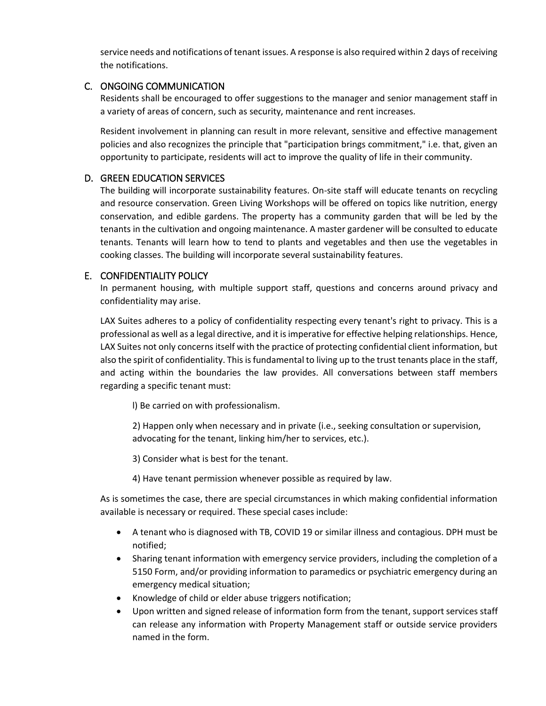service needs and notifications of tenant issues. A response is also required within 2 days of receiving the notifications.

### <span id="page-21-0"></span>C. ONGOING COMMUNICATION

Residents shall be encouraged to offer suggestions to the manager and senior management staff in a variety of areas of concern, such as security, maintenance and rent increases.

Resident involvement in planning can result in more relevant, sensitive and effective management policies and also recognizes the principle that "participation brings commitment," i.e. that, given an opportunity to participate, residents will act to improve the quality of life in their community.

### <span id="page-21-1"></span>D. GREEN EDUCATION SERVICES

The building will incorporate sustainability features. On-site staff will educate tenants on recycling and resource conservation. Green Living Workshops will be offered on topics like nutrition, energy conservation, and edible gardens. The property has a community garden that will be led by the tenants in the cultivation and ongoing maintenance. A master gardener will be consulted to educate tenants. Tenants will learn how to tend to plants and vegetables and then use the vegetables in cooking classes. The building will incorporate several sustainability features.

### <span id="page-21-2"></span>E. CONFIDENTIALITY POLICY

In permanent housing, with multiple support staff, questions and concerns around privacy and confidentiality may arise.

LAX Suites adheres to a policy of confidentiality respecting every tenant's right to privacy. This is a professional as well as a legal directive, and it is imperative for effective helping relationships. Hence, LAX Suites not only concerns itself with the practice of protecting confidential client information, but also the spirit of confidentiality. This is fundamental to living up to the trust tenants place in the staff, and acting within the boundaries the law provides. All conversations between staff members regarding a specific tenant must:

l) Be carried on with professionalism.

2) Happen only when necessary and in private (i.e., seeking consultation or supervision, advocating for the tenant, linking him/her to services, etc.).

3) Consider what is best for the tenant.

4) Have tenant permission whenever possible as required by law.

As is sometimes the case, there are special circumstances in which making confidential information available is necessary or required. These special cases include:

- A tenant who is diagnosed with TB, COVID 19 or similar illness and contagious. DPH must be notified;
- Sharing tenant information with emergency service providers, including the completion of a 5150 Form, and/or providing information to paramedics or psychiatric emergency during an emergency medical situation;
- Knowledge of child or elder abuse triggers notification;
- Upon written and signed release of information form from the tenant, support services staff can release any information with Property Management staff or outside service providers named in the form.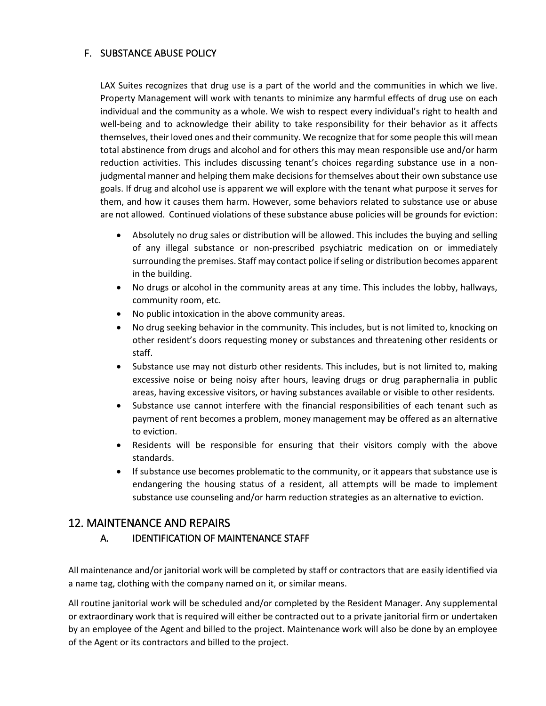### <span id="page-22-0"></span>F. SUBSTANCE ABUSE POLICY

LAX Suites recognizes that drug use is a part of the world and the communities in which we live. Property Management will work with tenants to minimize any harmful effects of drug use on each individual and the community as a whole. We wish to respect every individual's right to health and well-being and to acknowledge their ability to take responsibility for their behavior as it affects themselves, their loved ones and their community. We recognize that for some people this will mean total abstinence from drugs and alcohol and for others this may mean responsible use and/or harm reduction activities. This includes discussing tenant's choices regarding substance use in a nonjudgmental manner and helping them make decisions for themselves about their own substance use goals. If drug and alcohol use is apparent we will explore with the tenant what purpose it serves for them, and how it causes them harm. However, some behaviors related to substance use or abuse are not allowed. Continued violations of these substance abuse policies will be grounds for eviction:

- Absolutely no drug sales or distribution will be allowed. This includes the buying and selling of any illegal substance or non-prescribed psychiatric medication on or immediately surrounding the premises. Staff may contact police if seling or distribution becomes apparent in the building.
- No drugs or alcohol in the community areas at any time. This includes the lobby, hallways, community room, etc.
- No public intoxication in the above community areas.
- No drug seeking behavior in the community. This includes, but is not limited to, knocking on other resident's doors requesting money or substances and threatening other residents or staff.
- Substance use may not disturb other residents. This includes, but is not limited to, making excessive noise or being noisy after hours, leaving drugs or drug paraphernalia in public areas, having excessive visitors, or having substances available or visible to other residents.
- Substance use cannot interfere with the financial responsibilities of each tenant such as payment of rent becomes a problem, money management may be offered as an alternative to eviction.
- Residents will be responsible for ensuring that their visitors comply with the above standards.
- If substance use becomes problematic to the community, or it appears that substance use is endangering the housing status of a resident, all attempts will be made to implement substance use counseling and/or harm reduction strategies as an alternative to eviction.

### <span id="page-22-2"></span><span id="page-22-1"></span>12. MAINTENANCE AND REPAIRS

### A. IDENTIFICATION OF MAINTENANCE STAFF

All maintenance and/or janitorial work will be completed by staff or contractors that are easily identified via a name tag, clothing with the company named on it, or similar means.

All routine janitorial work will be scheduled and/or completed by the Resident Manager. Any supplemental or extraordinary work that is required will either be contracted out to a private janitorial firm or undertaken by an employee of the Agent and billed to the project. Maintenance work will also be done by an employee of the Agent or its contractors and billed to the project.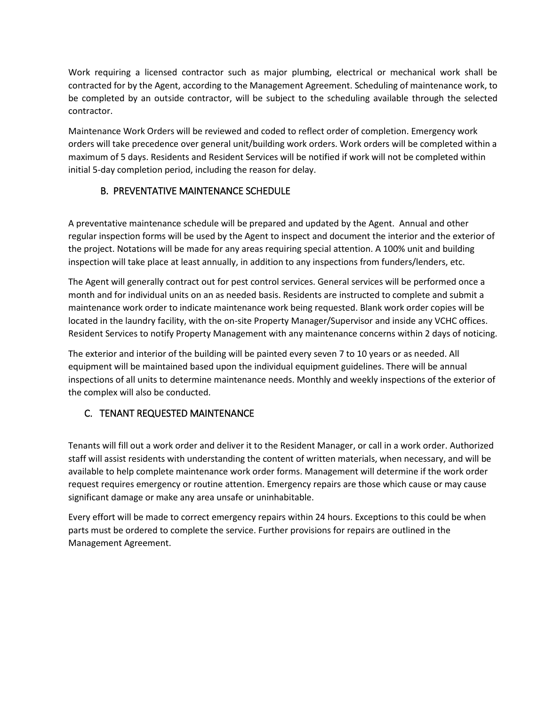Work requiring a licensed contractor such as major plumbing, electrical or mechanical work shall be contracted for by the Agent, according to the Management Agreement. Scheduling of maintenance work, to be completed by an outside contractor, will be subject to the scheduling available through the selected contractor.

Maintenance Work Orders will be reviewed and coded to reflect order of completion. Emergency work orders will take precedence over general unit/building work orders. Work orders will be completed within a maximum of 5 days. Residents and Resident Services will be notified if work will not be completed within initial 5-day completion period, including the reason for delay.

### B. PREVENTATIVE MAINTENANCE SCHEDULE

<span id="page-23-0"></span>A preventative maintenance schedule will be prepared and updated by the Agent. Annual and other regular inspection forms will be used by the Agent to inspect and document the interior and the exterior of the project. Notations will be made for any areas requiring special attention. A 100% unit and building inspection will take place at least annually, in addition to any inspections from funders/lenders, etc.

The Agent will generally contract out for pest control services. General services will be performed once a month and for individual units on an as needed basis. Residents are instructed to complete and submit a maintenance work order to indicate maintenance work being requested. Blank work order copies will be located in the laundry facility, with the on-site Property Manager/Supervisor and inside any VCHC offices. Resident Services to notify Property Management with any maintenance concerns within 2 days of noticing.

The exterior and interior of the building will be painted every seven 7 to 10 years or as needed. All equipment will be maintained based upon the individual equipment guidelines. There will be annual inspections of all units to determine maintenance needs. Monthly and weekly inspections of the exterior of the complex will also be conducted.

### <span id="page-23-1"></span>C. TENANT REQUESTED MAINTENANCE

Tenants will fill out a work order and deliver it to the Resident Manager, or call in a work order. Authorized staff will assist residents with understanding the content of written materials, when necessary, and will be available to help complete maintenance work order forms. Management will determine if the work order request requires emergency or routine attention. Emergency repairs are those which cause or may cause significant damage or make any area unsafe or uninhabitable.

Every effort will be made to correct emergency repairs within 24 hours. Exceptions to this could be when parts must be ordered to complete the service. Further provisions for repairs are outlined in the Management Agreement.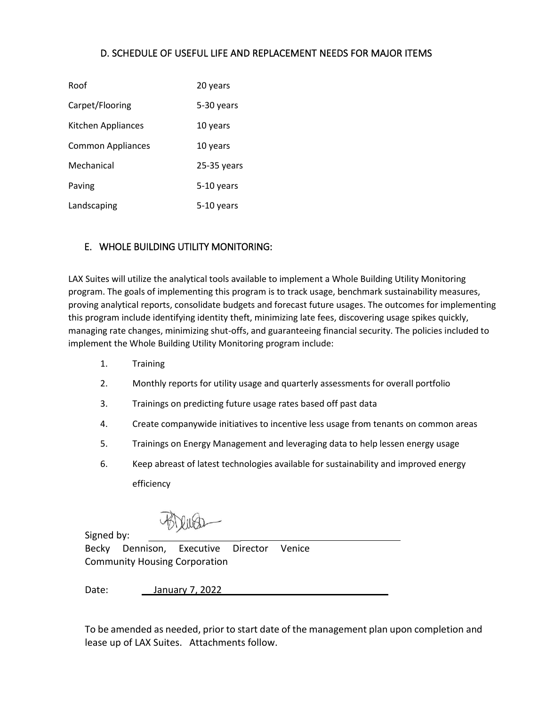### D. SCHEDULE OF USEFUL LIFE AND REPLACEMENT NEEDS FOR MAJOR ITEMS

<span id="page-24-0"></span>

| Roof               | 20 years    |
|--------------------|-------------|
| Carpet/Flooring    | 5-30 years  |
| Kitchen Appliances | 10 years    |
| Common Appliances  | 10 years    |
| Mechanical         | 25-35 years |
| Paving             | 5-10 years  |
| Landscaping        | 5-10 years  |

### <span id="page-24-1"></span>E. WHOLE BUILDING UTILITY MONITORING:

LAX Suites will utilize the analytical tools available to implement a Whole Building Utility Monitoring program. The goals of implementing this program is to track usage, benchmark sustainability measures, proving analytical reports, consolidate budgets and forecast future usages. The outcomes for implementing this program include identifying identity theft, minimizing late fees, discovering usage spikes quickly, managing rate changes, minimizing shut-offs, and guaranteeing financial security. The policies included to implement the Whole Building Utility Monitoring program include:

- 1. Training
- 2. Monthly reports for utility usage and quarterly assessments for overall portfolio
- 3. Trainings on predicting future usage rates based off past data
- 4. Create companywide initiatives to incentive less usage from tenants on common areas
- 5. Trainings on Energy Management and leveraging data to help lessen energy usage
- 6. Keep abreast of latest technologies available for sustainability and improved energy efficiency

Signed by:

Becky Dennison, Executive Director Venice Community Housing Corporation

Date: \_January 7, 2022

To be amended as needed, prior to start date of the management plan upon completion and lease up of LAX Suites. Attachments follow.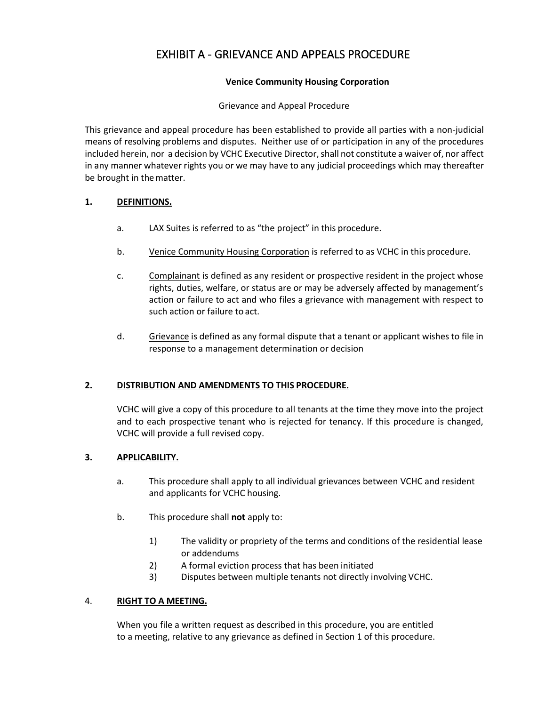# EXHIBIT A - GRIEVANCE AND APPEALS PROCEDURE

#### **Venice Community Housing Corporation**

#### Grievance and Appeal Procedure

<span id="page-25-0"></span>This grievance and appeal procedure has been established to provide all parties with a non-judicial means of resolving problems and disputes. Neither use of or participation in any of the procedures included herein, nor a decision by VCHC Executive Director, shall not constitute a waiver of, nor affect in any manner whatever rights you or we may have to any judicial proceedings which may thereafter be brought in thematter.

#### **1. DEFINITIONS.**

- a. LAX Suites is referred to as "the project" in this procedure.
- b. Venice Community Housing Corporation is referred to as VCHC in this procedure.
- c. Complainant is defined as any resident or prospective resident in the project whose rights, duties, welfare, or status are or may be adversely affected by management's action or failure to act and who files a grievance with management with respect to such action or failure to act.
- d. Grievance is defined as any formal dispute that a tenant or applicant wishes to file in response to a management determination or decision

#### **2. DISTRIBUTION AND AMENDMENTS TO THIS PROCEDURE.**

VCHC will give a copy of this procedure to all tenants at the time they move into the project and to each prospective tenant who is rejected for tenancy. If this procedure is changed, VCHC will provide a full revised copy.

#### **3. APPLICABILITY.**

- a. This procedure shall apply to all individual grievances between VCHC and resident and applicants for VCHC housing.
- b. This procedure shall **not** apply to:
	- 1) The validity or propriety of the terms and conditions of the residential lease or addendums
	- 2) A formal eviction process that has been initiated
	- 3) Disputes between multiple tenants not directly involving VCHC.

#### 4. **RIGHT TO A MEETING.**

When you file a written request as described in this procedure, you are entitled to a meeting, relative to any grievance as defined in Section 1 of this procedure.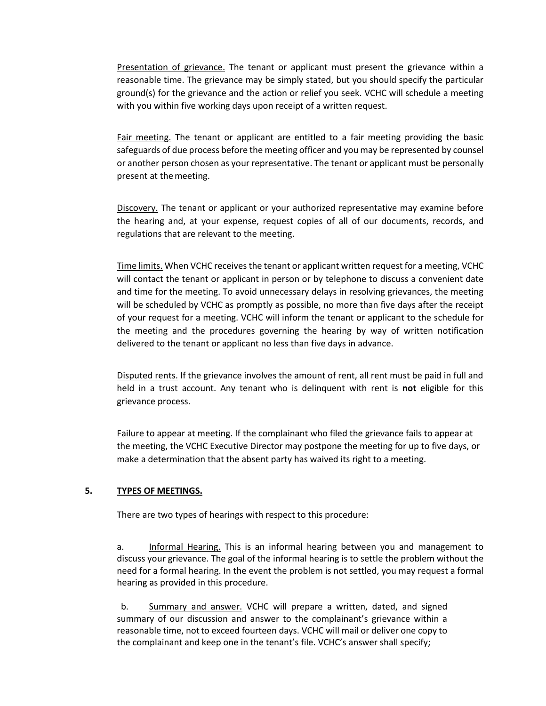Presentation of grievance. The tenant or applicant must present the grievance within a reasonable time. The grievance may be simply stated, but you should specify the particular ground(s) for the grievance and the action or relief you seek. VCHC will schedule a meeting with you within five working days upon receipt of a written request.

Fair meeting. The tenant or applicant are entitled to a fair meeting providing the basic safeguards of due process before the meeting officer and you may be represented by counsel or another person chosen as your representative. The tenant or applicant must be personally present at themeeting.

Discovery. The tenant or applicant or your authorized representative may examine before the hearing and, at your expense, request copies of all of our documents, records, and regulations that are relevant to the meeting.

Time limits. When VCHC receives the tenant or applicant written request for a meeting, VCHC will contact the tenant or applicant in person or by telephone to discuss a convenient date and time for the meeting. To avoid unnecessary delays in resolving grievances, the meeting will be scheduled by VCHC as promptly as possible, no more than five days after the receipt of your request for a meeting. VCHC will inform the tenant or applicant to the schedule for the meeting and the procedures governing the hearing by way of written notification delivered to the tenant or applicant no less than five days in advance.

Disputed rents. If the grievance involves the amount of rent, all rent must be paid in full and held in a trust account. Any tenant who is delinquent with rent is **not** eligible for this grievance process.

Failure to appear at meeting. If the complainant who filed the grievance fails to appear at the meeting, the VCHC Executive Director may postpone the meeting for up to five days, or make a determination that the absent party has waived its right to a meeting.

#### **5. TYPES OF MEETINGS.**

There are two types of hearings with respect to this procedure:

a. Informal Hearing. This is an informal hearing between you and management to discuss your grievance. The goal of the informal hearing is to settle the problem without the need for a formal hearing. In the event the problem is not settled, you may request a formal hearing as provided in this procedure.

b. Summary and answer. VCHC will prepare a written, dated, and signed summary of our discussion and answer to the complainant's grievance within a reasonable time, notto exceed fourteen days. VCHC will mail or deliver one copy to the complainant and keep one in the tenant's file. VCHC's answer shall specify;